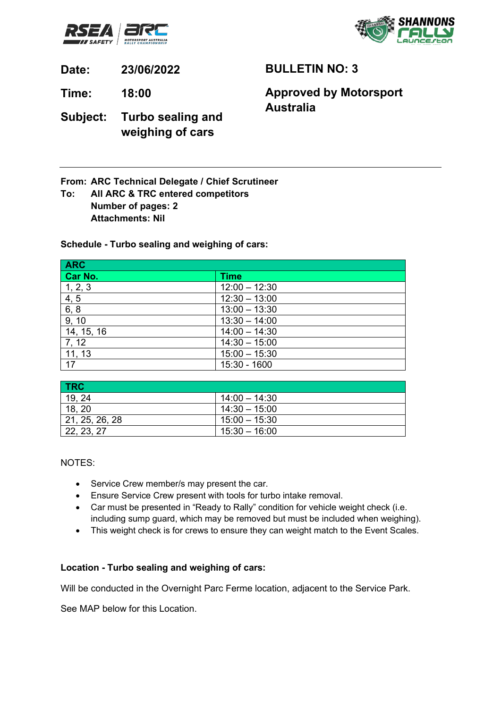



**Date: 23/06/2022**

**Time: 18:00**

**BULLETIN NO: 3**

## **Approved by Motorsport Australia**

**Subject: Turbo sealing and weighing of cars**

**From: ARC Technical Delegate / Chief Scrutineer**

**To: All ARC & TRC entered competitors Number of pages: 2 Attachments: Nil**

**Schedule - Turbo sealing and weighing of cars:**

| <b>ARC</b> |                 |
|------------|-----------------|
| Car No.    | <b>Time</b>     |
| 1, 2, 3    | $12:00 - 12:30$ |
| 4, 5       | $12:30 - 13:00$ |
| 6, 8       | $13:00 - 13:30$ |
| 9, 10      | $13:30 - 14:00$ |
| 14, 15, 16 | $14:00 - 14:30$ |
| 7, 12      | $14:30 - 15:00$ |
| 11, 13     | $15:00 - 15:30$ |
| 17         | 15:30 - 1600    |

| <b>TRC</b>     |                 |
|----------------|-----------------|
| 19, 24         | $14:00 - 14:30$ |
| 18, 20         | $14:30 - 15:00$ |
| 21, 25, 26, 28 | $15:00 - 15:30$ |
| 22, 23, 27     | $15:30 - 16:00$ |

NOTES:

- Service Crew member/s may present the car.
- Ensure Service Crew present with tools for turbo intake removal.
- Car must be presented in "Ready to Rally" condition for vehicle weight check (i.e. including sump guard, which may be removed but must be included when weighing).
- This weight check is for crews to ensure they can weight match to the Event Scales.

## **Location - Turbo sealing and weighing of cars:**

Will be conducted in the Overnight Parc Ferme location, adjacent to the Service Park.

See MAP below for this Location.